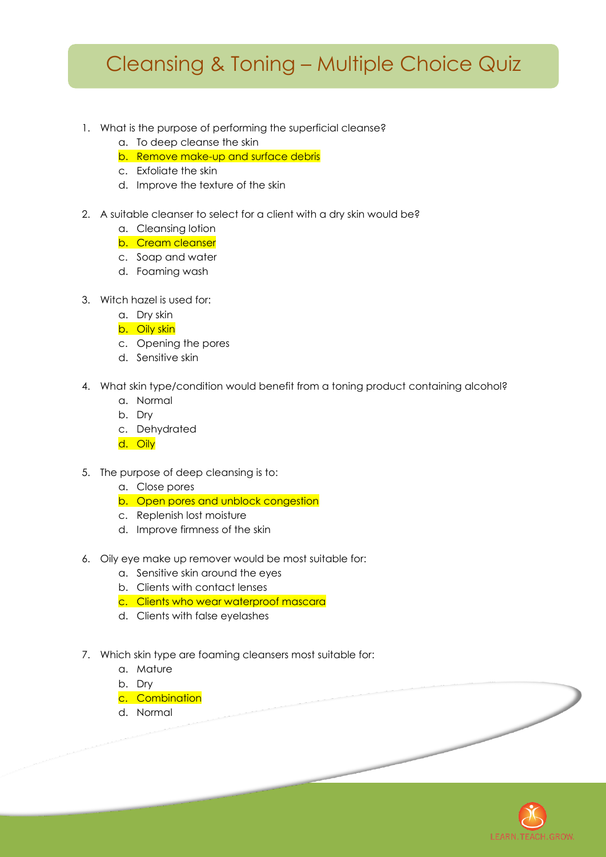## Cleansing & Toning – Multiple Choice Quiz

## 1. What is the purpose of performing the superficial cleanse?

- a. To deep cleanse the skin
- b. Remove make-up and surface debris
- c. Exfoliate the skin
- d. Improve the texture of the skin
- 2. A suitable cleanser to select for a client with a dry skin would be?
	- a. Cleansing lotion
	- b. Cream cleanser
	- c. Soap and water
	- d. Foaming wash
- 3. Witch hazel is used for:
	- a. Dry skin
	- b. Oily skin
	- c. Opening the pores
	- d. Sensitive skin
- 4. What skin type/condition would benefit from a toning product containing alcohol?
	- a. Normal
	- b. Dry
	- c. Dehydrated
	- d. Oily
- 5. The purpose of deep cleansing is to:
	- a. Close pores
	- b. Open pores and unblock congestion
	- c. Replenish lost moisture
	- d. Improve firmness of the skin
- 6. Oily eye make up remover would be most suitable for:
	- a. Sensitive skin around the eyes
	- b. Clients with contact lenses
	- c. Clients who wear waterproof mascara
	- d. Clients with false eyelashes
- 7. Which skin type are foaming cleansers most suitable for:
	- a. Mature
	- b. Dry
	- c. Combination
	- d. Normal